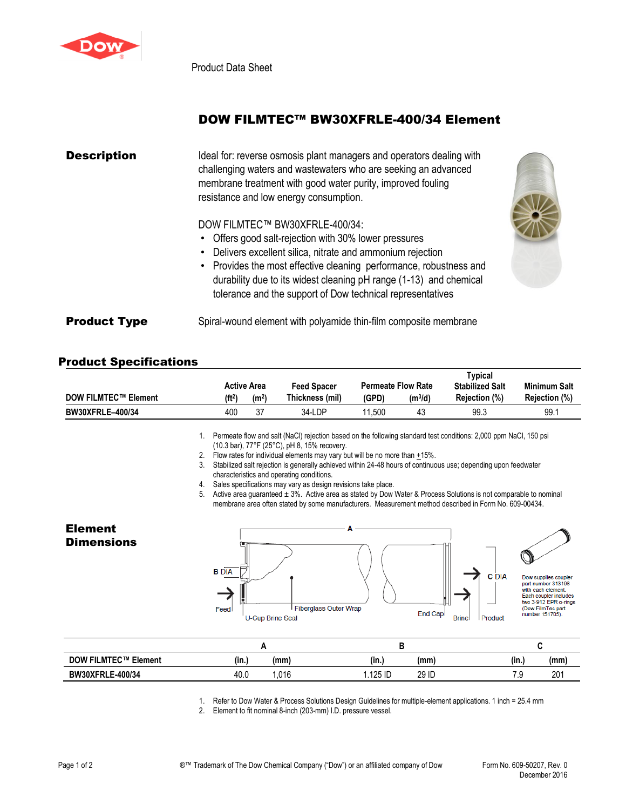

Product Data Sheet

## DOW FILMTEC™ BW30XFRLE-400/34 Element

| <b>Description</b>  | Ideal for: reverse osmosis plant managers and operators dealing with<br>challenging waters and wastewaters who are seeking an advanced<br>membrane treatment with good water purity, improved fouling<br>resistance and low energy consumption.                                                                                                                  |
|---------------------|------------------------------------------------------------------------------------------------------------------------------------------------------------------------------------------------------------------------------------------------------------------------------------------------------------------------------------------------------------------|
|                     | DOW FILMTEC™ BW30XFRLE-400/34:<br>• Offers good salt-rejection with 30% lower pressures<br>• Delivers excellent silica, nitrate and ammonium rejection<br>• Provides the most effective cleaning performance, robustness and<br>durability due to its widest cleaning pH range (1-13) and chemical<br>tolerance and the support of Dow technical representatives |
| <b>Product Type</b> | Spiral-wound element with polyamide thin-film composite membrane                                                                                                                                                                                                                                                                                                 |

## Product Specifications

|                             |                    |                    |                    |                           |                     | Typical                |                      |
|-----------------------------|--------------------|--------------------|--------------------|---------------------------|---------------------|------------------------|----------------------|
|                             |                    | <b>Active Area</b> | <b>Feed Spacer</b> | <b>Permeate Flow Rate</b> |                     | <b>Stabilized Salt</b> | Minimum Salt         |
| <b>DOW FILMTEC™ Element</b> | (ft <sup>2</sup> ) | (m <sup>2</sup> )  | Thickness (mil)    | (GPD)                     | (m <sup>3</sup> /d) | Rejection (%)          | <b>Rejection (%)</b> |
| <b>BW30XFRLE-400/34</b>     | 400                | 37                 | 34-LDP             | .500                      | 43                  | 99.3                   | 99.7                 |

1. Permeate flow and salt (NaCl) rejection based on the following standard test conditions: 2,000 ppm NaCl, 150 psi (10.3 bar), 77°F (25°C), pH 8, 15% recovery.

2. Flow rates for individual elements may vary but will be no more than  $\pm 15\%$ .

- 3. Stabilized salt rejection is generally achieved within 24-48 hours of continuous use; depending upon feedwater characteristics and operating conditions.
- 4. Sales specifications may vary as design revisions take place.

5. Active area guaranteed  $\pm 3\%$ . Active area as stated by Dow Water & Process Solutions is not comparable to nominal membrane area often stated by some manufacturers. Measurement method described in Form No. 609-00434.

## Element **Dimensions**





**C** DIA

Product

Dow supplies couple part number 313198 .<br>with each element. Each coupler includes<br>two 3-912 EPR o-rings (Dow FilmTec part<br>number 151705).

| <b>DOW FILMTEC™ Element</b> | $\cdots$<br>(in.) | (mm  | (mm)<br>(in.     | (in.) | (mm) |
|-----------------------------|-------------------|------|------------------|-------|------|
| <b>BW30XFRLE-400/34</b>     | 40.0              | .016 | .125 ID<br>29 ID | ں.,   | 201  |

1. Refer to Dow Water & Process Solutions Design Guidelines for multiple-element applications. 1 inch = 25.4 mm

2. Element to fit nominal 8-inch (203-mm) I.D. pressure vessel.